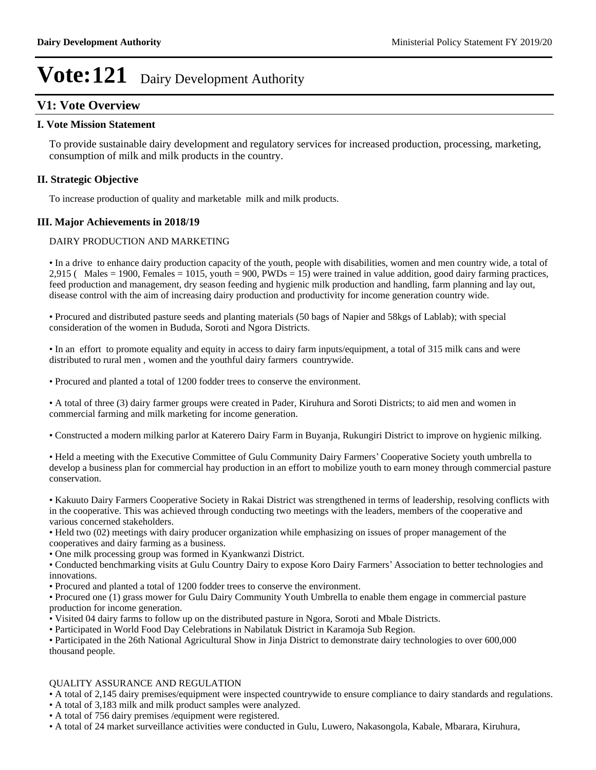# **V1: Vote Overview**

### **I. Vote Mission Statement**

To provide sustainable dairy development and regulatory services for increased production, processing, marketing, consumption of milk and milk products in the country.

### **II. Strategic Objective**

To increase production of quality and marketable milk and milk products.

### **III. Major Achievements in 2018/19**

### DAIRY PRODUCTION AND MARKETING

In a drive to enhance dairy production capacity of the youth, people with disabilities, women and men country wide, a total of  $2,915$  (Males = 1900, Females = 1015, youth = 900, PWDs = 15) were trained in value addition, good dairy farming practices, feed production and management, dry season feeding and hygienic milk production and handling, farm planning and lay out, disease control with the aim of increasing dairy production and productivity for income generation country wide.

Procured and distributed pasture seeds and planting materials (50 bags of Napier and 58kgs of Lablab); with special consideration of the women in Bududa, Soroti and Ngora Districts.

In an effort to promote equality and equity in access to dairy farm inputs/equipment, a total of 315 milk cans and were distributed to rural men , women and the youthful dairy farmers countrywide.

Procured and planted a total of 1200 fodder trees to conserve the environment.

A total of three (3) dairy farmer groups were created in Pader, Kiruhura and Soroti Districts; to aid men and women in commercial farming and milk marketing for income generation.

Constructed a modern milking parlor at Katerero Dairy Farm in Buyanja, Rukungiri District to improve on hygienic milking.

• Held a meeting with the Executive Committee of Gulu Community Dairy Farmers' Cooperative Society youth umbrella to develop a business plan for commercial hay production in an effort to mobilize youth to earn money through commercial pasture conservation.

• Kakuuto Dairy Farmers Cooperative Society in Rakai District was strengthened in terms of leadership, resolving conflicts with in the cooperative. This was achieved through conducting two meetings with the leaders, members of the cooperative and various concerned stakeholders.

• Held two (02) meetings with dairy producer organization while emphasizing on issues of proper management of the cooperatives and dairy farming as a business.

One milk processing group was formed in Kyankwanzi District.

• Conducted benchmarking visits at Gulu Country Dairy to expose Koro Dairy Farmers' Association to better technologies and innovations.

Procured and planted a total of 1200 fodder trees to conserve the environment.

Procured one (1) grass mower for Gulu Dairy Community Youth Umbrella to enable them engage in commercial pasture production for income generation.

Visited 04 dairy farms to follow up on the distributed pasture in Ngora, Soroti and Mbale Districts.

Participated in World Food Day Celebrations in Nabilatuk District in Karamoja Sub Region.

Participated in the 26th National Agricultural Show in Jinja District to demonstrate dairy technologies to over 600,000 thousand people.

### QUALITY ASSURANCE AND REGULATION

A total of 2,145 dairy premises/equipment were inspected countrywide to ensure compliance to dairy standards and regulations.

- A total of 3,183 milk and milk product samples were analyzed.
- A total of 756 dairy premises /equipment were registered.

A total of 24 market surveillance activities were conducted in Gulu, Luwero, Nakasongola, Kabale, Mbarara, Kiruhura,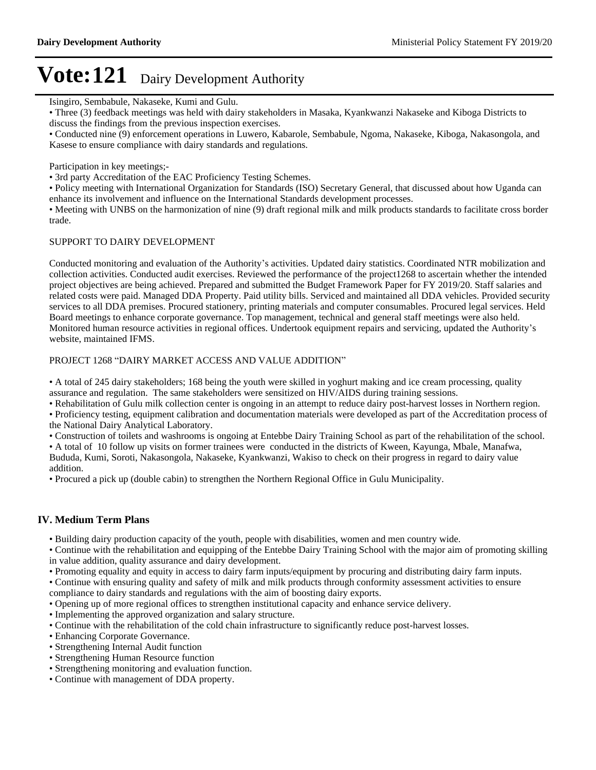Isingiro, Sembabule, Nakaseke, Kumi and Gulu.

Three (3) feedback meetings was held with dairy stakeholders in Masaka, Kyankwanzi Nakaseke and Kiboga Districts to discuss the findings from the previous inspection exercises.

Conducted nine (9) enforcement operations in Luwero, Kabarole, Sembabule, Ngoma, Nakaseke, Kiboga, Nakasongola, and Kasese to ensure compliance with dairy standards and regulations.

Participation in key meetings;-

3rd party Accreditation of the EAC Proficiency Testing Schemes.

Policy meeting with International Organization for Standards (ISO) Secretary General, that discussed about how Uganda can enhance its involvement and influence on the International Standards development processes.

Meeting with UNBS on the harmonization of nine (9) draft regional milk and milk products standards to facilitate cross border trade.

### SUPPORT TO DAIRY DEVELOPMENT

Conducted monitoring and evaluation of the Authority's activities. Updated dairy statistics. Coordinated NTR mobilization and collection activities. Conducted audit exercises. Reviewed the performance of the project1268 to ascertain whether the intended project objectives are being achieved. Prepared and submitted the Budget Framework Paper for FY 2019/20. Staff salaries and related costs were paid. Managed DDA Property. Paid utility bills. Serviced and maintained all DDA vehicles. Provided security services to all DDA premises. Procured stationery, printing materials and computer consumables. Procured legal services. Held Board meetings to enhance corporate governance. Top management, technical and general staff meetings were also held. Monitored human resource activities in regional offices. Undertook equipment repairs and servicing, updated the Authority's website, maintained IFMS.

### PROJECT 1268 "DAIRY MARKET ACCESS AND VALUE ADDITION"

A total of 245 dairy stakeholders; 168 being the youth were skilled in yoghurt making and ice cream processing, quality assurance and regulation. The same stakeholders were sensitized on HIV/AIDS during training sessions.

Rehabilitation of Gulu milk collection center is ongoing in an attempt to reduce dairy post-harvest losses in Northern region.

Proficiency testing, equipment calibration and documentation materials were developed as part of the Accreditation process of the National Dairy Analytical Laboratory.

Construction of toilets and washrooms is ongoing at Entebbe Dairy Training School as part of the rehabilitation of the school.

A total of 10 follow up visits on former trainees were conducted in the districts of Kween, Kayunga, Mbale, Manafwa, Bududa, Kumi, Soroti, Nakasongola, Nakaseke, Kyankwanzi, Wakiso to check on their progress in regard to dairy value addition.

Procured a pick up (double cabin) to strengthen the Northern Regional Office in Gulu Municipality.

### **IV. Medium Term Plans**

Building dairy production capacity of the youth, people with disabilities, women and men country wide.

Continue with the rehabilitation and equipping of the Entebbe Dairy Training School with the major aim of promoting skilling in value addition, quality assurance and dairy development.

Promoting equality and equity in access to dairy farm inputs/equipment by procuring and distributing dairy farm inputs.

Continue with ensuring quality and safety of milk and milk products through conformity assessment activities to ensure compliance to dairy standards and regulations with the aim of boosting dairy exports.

Opening up of more regional offices to strengthen institutional capacity and enhance service delivery.

Implementing the approved organization and salary structure.

Continue with the rehabilitation of the cold chain infrastructure to significantly reduce post-harvest losses.

Enhancing Corporate Governance.

- Strengthening Internal Audit function
- Strengthening Human Resource function
- Strengthening monitoring and evaluation function.
- Continue with management of DDA property.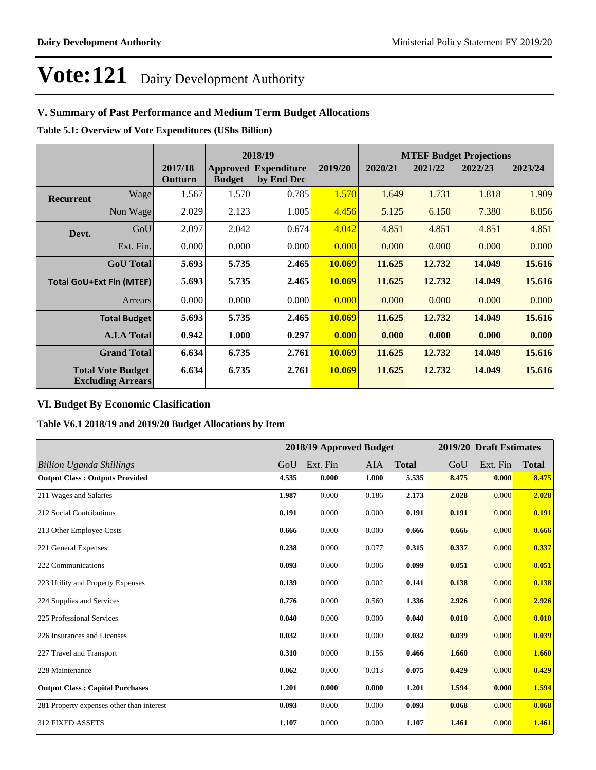# **V. Summary of Past Performance and Medium Term Budget Allocations**

**Table 5.1: Overview of Vote Expenditures (UShs Billion)**

| 2018/19          |                                                      |                    | <b>MTEF Budget Projections</b> |                                           |         |         |         |         |         |
|------------------|------------------------------------------------------|--------------------|--------------------------------|-------------------------------------------|---------|---------|---------|---------|---------|
|                  |                                                      | 2017/18<br>Outturn | <b>Budget</b>                  | <b>Approved Expenditure</b><br>by End Dec | 2019/20 | 2020/21 | 2021/22 | 2022/23 | 2023/24 |
| <b>Recurrent</b> | Wage                                                 | 1.567              | 1.570                          | 0.785                                     | 1.570   | 1.649   | 1.731   | 1.818   | 1.909   |
|                  | Non Wage                                             | 2.029              | 2.123                          | 1.005                                     | 4.456   | 5.125   | 6.150   | 7.380   | 8.856   |
| Devt.            | GoU                                                  | 2.097              | 2.042                          | 0.674                                     | 4.042   | 4.851   | 4.851   | 4.851   | 4.851   |
|                  | Ext. Fin.                                            | 0.000              | 0.000                          | 0.000                                     | 0.000   | 0.000   | 0.000   | 0.000   | 0.000   |
|                  | <b>GoU</b> Total                                     | 5.693              | 5.735                          | 2.465                                     | 10.069  | 11.625  | 12.732  | 14.049  | 15.616  |
|                  | <b>Total GoU+Ext Fin (MTEF)</b>                      | 5.693              | 5.735                          | 2.465                                     | 10.069  | 11.625  | 12.732  | 14.049  | 15.616  |
|                  | <b>Arrears</b>                                       | 0.000              | 0.000                          | 0.000                                     | 0.000   | 0.000   | 0.000   | 0.000   | 0.000   |
|                  | <b>Total Budget</b>                                  | 5.693              | 5.735                          | 2.465                                     | 10.069  | 11.625  | 12.732  | 14.049  | 15.616  |
|                  | <b>A.I.A Total</b>                                   | 0.942              | 1.000                          | 0.297                                     | 0.000   | 0.000   | 0.000   | 0.000   | 0.000   |
|                  | <b>Grand Total</b>                                   | 6.634              | 6.735                          | 2.761                                     | 10.069  | 11.625  | 12.732  | 14.049  | 15.616  |
|                  | <b>Total Vote Budget</b><br><b>Excluding Arrears</b> | 6.634              | 6.735                          | 2.761                                     | 10.069  | 11.625  | 12.732  | 14.049  | 15.616  |

## **VI. Budget By Economic Clasification**

**Table V6.1 2018/19 and 2019/20 Budget Allocations by Item**

|                                           |       | 2018/19 Approved Budget |       |              |       | 2019/20 Draft Estimates |              |
|-------------------------------------------|-------|-------------------------|-------|--------------|-------|-------------------------|--------------|
| Billion Uganda Shillings                  | GoU   | Ext. Fin                | AIA   | <b>Total</b> | GoU   | Ext. Fin                | <b>Total</b> |
| <b>Output Class: Outputs Provided</b>     | 4.535 | 0.000                   | 1.000 | 5.535        | 8.475 | 0.000                   | 8.475        |
| 211 Wages and Salaries                    | 1.987 | 0.000                   | 0.186 | 2.173        | 2.028 | 0.000                   | 2.028        |
| 212 Social Contributions                  | 0.191 | 0.000                   | 0.000 | 0.191        | 0.191 | 0.000                   | 0.191        |
| 213 Other Employee Costs                  | 0.666 | 0.000                   | 0.000 | 0.666        | 0.666 | 0.000                   | 0.666        |
| 221 General Expenses                      | 0.238 | 0.000                   | 0.077 | 0.315        | 0.337 | 0.000                   | 0.337        |
| 222 Communications                        | 0.093 | 0.000                   | 0.006 | 0.099        | 0.051 | 0.000                   | 0.051        |
| 223 Utility and Property Expenses         | 0.139 | 0.000                   | 0.002 | 0.141        | 0.138 | 0.000                   | 0.138        |
| 224 Supplies and Services                 | 0.776 | 0.000                   | 0.560 | 1.336        | 2.926 | 0.000                   | 2.926        |
| 225 Professional Services                 | 0.040 | 0.000                   | 0.000 | 0.040        | 0.010 | 0.000                   | 0.010        |
| 226 Insurances and Licenses               | 0.032 | 0.000                   | 0.000 | 0.032        | 0.039 | 0.000                   | 0.039        |
| 227 Travel and Transport                  | 0.310 | 0.000                   | 0.156 | 0.466        | 1.660 | 0.000                   | 1.660        |
| 228 Maintenance                           | 0.062 | 0.000                   | 0.013 | 0.075        | 0.429 | 0.000                   | 0.429        |
| <b>Output Class: Capital Purchases</b>    | 1.201 | 0.000                   | 0.000 | 1.201        | 1.594 | 0.000                   | 1.594        |
| 281 Property expenses other than interest | 0.093 | 0.000                   | 0.000 | 0.093        | 0.068 | 0.000                   | 0.068        |
| 312 FIXED ASSETS                          | 1.107 | 0.000                   | 0.000 | 1.107        | 1.461 | 0.000                   | 1.461        |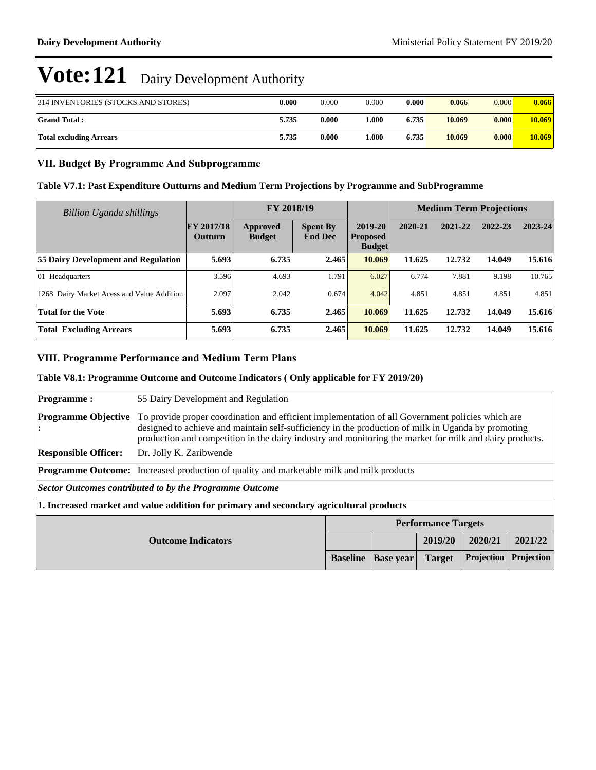| 314 INVENTORIES (STOCKS AND STORES) | 0.000 | 0.000 | 0.000 | 0.000 | 0.066  | 0.000 | 0.066  |
|-------------------------------------|-------|-------|-------|-------|--------|-------|--------|
| <b>Grand Total:</b>                 | 5.735 | 0.000 | 0.000 | 6.735 | 10.069 | 0.000 | 10.069 |
| Total excluding Arrears             | 5.735 | 0.000 | .000  | 6.735 | 10.069 | 0.000 | 10.069 |

## **VII. Budget By Programme And Subprogramme**

### **Table V7.1: Past Expenditure Outturns and Medium Term Projections by Programme and SubProgramme**

| Billion Uganda shillings                   |                              | FY 2018/19                |                                   |                                             | <b>Medium Term Projections</b> |         |         |         |
|--------------------------------------------|------------------------------|---------------------------|-----------------------------------|---------------------------------------------|--------------------------------|---------|---------|---------|
|                                            | <b>FY 2017/18</b><br>Outturn | Approved<br><b>Budget</b> | <b>Spent By</b><br><b>End Dec</b> | 2019-20<br><b>Proposed</b><br><b>Budget</b> | 2020-21                        | 2021-22 | 2022-23 | 2023-24 |
| <b>55 Dairy Development and Regulation</b> | 5.693                        | 6.735                     | 2.465                             | 10.069                                      | 11.625                         | 12.732  | 14.049  | 15.616  |
| $ 01 \text{ Headquarters}$                 | 3.596                        | 4.693                     | 1.791                             | 6.027                                       | 6.774                          | 7.881   | 9.198   | 10.765  |
| 1268 Dairy Market Acess and Value Addition | 2.097                        | 2.042                     | 0.674                             | 4.042                                       | 4.851                          | 4.851   | 4.851   | 4.851   |
| <b>Total for the Vote</b>                  | 5.693                        | 6.735                     | 2.465                             | 10.069                                      | 11.625                         | 12.732  | 14.049  | 15.616  |
| <b>Total Excluding Arrears</b>             | 5.693                        | 6.735                     | 2.465                             | 10.069                                      | 11.625                         | 12.732  | 14.049  | 15.616  |

## **VIII. Programme Performance and Medium Term Plans**

### **Table V8.1: Programme Outcome and Outcome Indicators ( Only applicable for FY 2019/20)**

|                             |                                                                                                                                                                                                                                                                                                                   | <b>Baseline</b> | <b>Base year</b>           | <b>Target</b> | Projection | Projection |  |
|-----------------------------|-------------------------------------------------------------------------------------------------------------------------------------------------------------------------------------------------------------------------------------------------------------------------------------------------------------------|-----------------|----------------------------|---------------|------------|------------|--|
| <b>Outcome Indicators</b>   |                                                                                                                                                                                                                                                                                                                   |                 |                            | 2019/20       | 2020/21    | 2021/22    |  |
|                             |                                                                                                                                                                                                                                                                                                                   |                 | <b>Performance Targets</b> |               |            |            |  |
|                             | 1. Increased market and value addition for primary and secondary agricultural products                                                                                                                                                                                                                            |                 |                            |               |            |            |  |
|                             | Sector Outcomes contributed to by the Programme Outcome                                                                                                                                                                                                                                                           |                 |                            |               |            |            |  |
|                             | <b>Programme Outcome:</b> Increased production of quality and marketable milk and milk products                                                                                                                                                                                                                   |                 |                            |               |            |            |  |
| <b>Responsible Officer:</b> | Dr. Jolly K. Zaribwende                                                                                                                                                                                                                                                                                           |                 |                            |               |            |            |  |
| <b>Programme Objective</b>  | To provide proper coordination and efficient implementation of all Government policies which are<br>designed to achieve and maintain self-sufficiency in the production of milk in Uganda by promoting<br>production and competition in the dairy industry and monitoring the market for milk and dairy products. |                 |                            |               |            |            |  |
| <b>Programme:</b>           | 55 Dairy Development and Regulation                                                                                                                                                                                                                                                                               |                 |                            |               |            |            |  |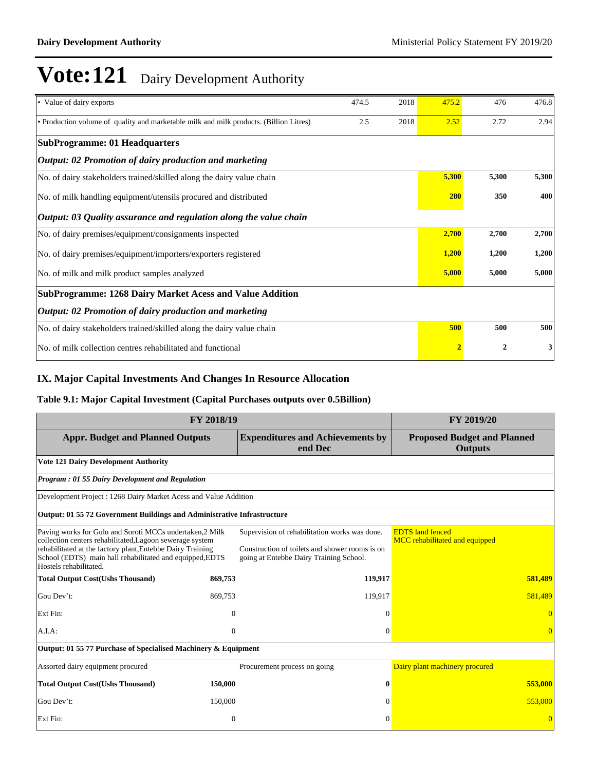| • Value of dairy exports                                                               | 474.5          | 2018             | 475.2 | 476   | 476.8 |
|----------------------------------------------------------------------------------------|----------------|------------------|-------|-------|-------|
| • Production volume of quality and marketable milk and milk products. (Billion Litres) | 2.5            | 2018             | 2.52  | 2.72  | 2.94  |
| <b>SubProgramme: 01 Headquarters</b>                                                   |                |                  |       |       |       |
| Output: 02 Promotion of dairy production and marketing                                 |                |                  |       |       |       |
| No. of dairy stakeholders trained/skilled along the dairy value chain                  |                |                  | 5,300 | 5,300 | 5,300 |
| No. of milk handling equipment/utensils procured and distributed                       |                |                  | 280   | 350   | 400   |
| Output: 03 Quality assurance and regulation along the value chain                      |                |                  |       |       |       |
| No. of dairy premises/equipment/consignments inspected                                 |                |                  | 2,700 | 2,700 | 2,700 |
| No. of dairy premises/equipment/importers/exporters registered                         |                | 1,200            | 1,200 | 1,200 |       |
| No. of milk and milk product samples analyzed                                          |                | 5,000            | 5,000 | 5,000 |       |
| <b>SubProgramme: 1268 Dairy Market Acess and Value Addition</b>                        |                |                  |       |       |       |
| Output: 02 Promotion of dairy production and marketing                                 |                |                  |       |       |       |
| No. of dairy stakeholders trained/skilled along the dairy value chain                  |                |                  | 500   | 500   | 500   |
| No. of milk collection centres rehabilitated and functional                            | $\overline{2}$ | $\boldsymbol{2}$ | 3     |       |       |

# **IX. Major Capital Investments And Changes In Resource Allocation**

### **Table 9.1: Major Capital Investment (Capital Purchases outputs over 0.5Billion)**

| FY 2018/19                                                                                                                                                                                                                                                               | FY 2019/20 |                                                                                                                                            |                                                           |  |  |  |  |  |
|--------------------------------------------------------------------------------------------------------------------------------------------------------------------------------------------------------------------------------------------------------------------------|------------|--------------------------------------------------------------------------------------------------------------------------------------------|-----------------------------------------------------------|--|--|--|--|--|
| <b>Appr. Budget and Planned Outputs</b>                                                                                                                                                                                                                                  |            | <b>Expenditures and Achievements by</b><br>end Dec                                                                                         | <b>Proposed Budget and Planned</b><br><b>Outputs</b>      |  |  |  |  |  |
| <b>Vote 121 Dairy Development Authority</b>                                                                                                                                                                                                                              |            |                                                                                                                                            |                                                           |  |  |  |  |  |
| <b>Program: 01 55 Dairy Development and Regulation</b>                                                                                                                                                                                                                   |            |                                                                                                                                            |                                                           |  |  |  |  |  |
| Development Project: 1268 Dairy Market Acess and Value Addition                                                                                                                                                                                                          |            |                                                                                                                                            |                                                           |  |  |  |  |  |
| Output: 01 55 72 Government Buildings and Administrative Infrastructure                                                                                                                                                                                                  |            |                                                                                                                                            |                                                           |  |  |  |  |  |
| Paving works for Gulu and Soroti MCCs undertaken, 2 Milk<br>collection centers rehabilitated, Lagoon sewerage system<br>rehabilitated at the factory plant, Entebbe Dairy Training<br>School (EDTS) main hall rehabilitated and equipped, EDTS<br>Hostels rehabilitated. |            | Supervision of rehabilitation works was done.<br>Construction of toilets and shower rooms is on<br>going at Entebbe Dairy Training School. | <b>EDTS</b> land fenced<br>MCC rehabilitated and equipped |  |  |  |  |  |
| <b>Total Output Cost(Ushs Thousand)</b>                                                                                                                                                                                                                                  | 869,753    | 119,917                                                                                                                                    | 581,489                                                   |  |  |  |  |  |
| Gou Dev't:                                                                                                                                                                                                                                                               | 869,753    | 119,917                                                                                                                                    | 581,489                                                   |  |  |  |  |  |
| Ext Fin:                                                                                                                                                                                                                                                                 | $\theta$   | $\theta$                                                                                                                                   |                                                           |  |  |  |  |  |
| A.I.A.                                                                                                                                                                                                                                                                   | $\theta$   | $\mathbf{0}$                                                                                                                               | $\overline{0}$                                            |  |  |  |  |  |
| Output: 01 55 77 Purchase of Specialised Machinery & Equipment                                                                                                                                                                                                           |            |                                                                                                                                            |                                                           |  |  |  |  |  |
| Assorted dairy equipment procured                                                                                                                                                                                                                                        |            | Procurement process on going                                                                                                               | Dairy plant machinery procured                            |  |  |  |  |  |
| <b>Total Output Cost(Ushs Thousand)</b>                                                                                                                                                                                                                                  | 150,000    | $\bf{0}$                                                                                                                                   | 553,000                                                   |  |  |  |  |  |
| Gou Dev't:                                                                                                                                                                                                                                                               | 150,000    | $\Omega$                                                                                                                                   | 553,000                                                   |  |  |  |  |  |
| Ext Fin:                                                                                                                                                                                                                                                                 | $\theta$   | $\Omega$                                                                                                                                   |                                                           |  |  |  |  |  |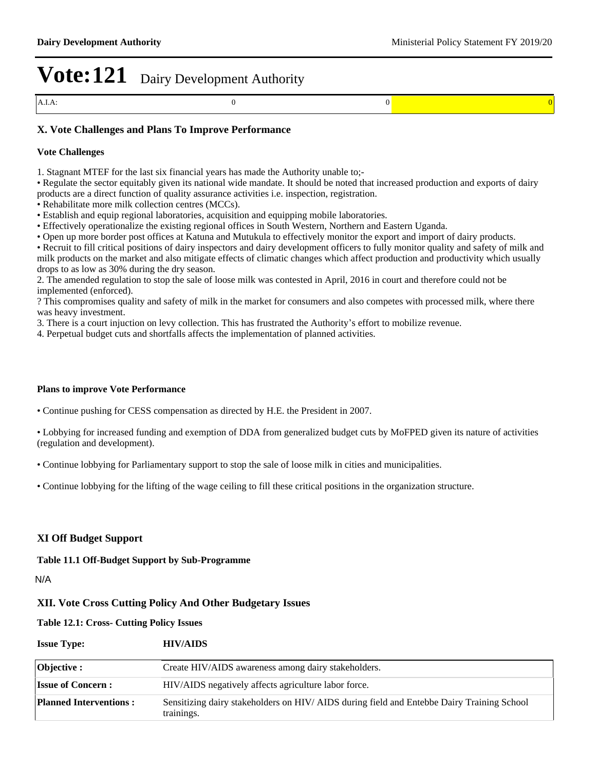### **X. Vote Challenges and Plans To Improve Performance**

#### **Vote Challenges**

1. Stagnant MTEF for the last six financial years has made the Authority unable to;-

- Regulate the sector equitably given its national wide mandate. It should be noted that increased production and exports of dairy products are a direct function of quality assurance activities i.e. inspection, registration.
- Rehabilitate more milk collection centres (MCCs).
- Establish and equip regional laboratories, acquisition and equipping mobile laboratories.
- Effectively operationalize the existing regional offices in South Western, Northern and Eastern Uganda.
- Open up more border post offices at Katuna and Mutukula to effectively monitor the export and import of dairy products.

Recruit to fill critical positions of dairy inspectors and dairy development officers to fully monitor quality and safety of milk and milk products on the market and also mitigate effects of climatic changes which affect production and productivity which usually drops to as low as 30% during the dry season.

2. The amended regulation to stop the sale of loose milk was contested in April, 2016 in court and therefore could not be implemented (enforced).

? This compromises quality and safety of milk in the market for consumers and also competes with processed milk, where there was heavy investment.

3. There is a court injuction on levy collection. This has frustrated the Authority's effort to mobilize revenue.

4. Perpetual budget cuts and shortfalls affects the implementation of planned activities.

#### **Plans to improve Vote Performance**

Continue pushing for CESS compensation as directed by H.E. the President in 2007.

Lobbying for increased funding and exemption of DDA from generalized budget cuts by MoFPED given its nature of activities (regulation and development).

Continue lobbying for Parliamentary support to stop the sale of loose milk in cities and municipalities.

Continue lobbying for the lifting of the wage ceiling to fill these critical positions in the organization structure.

### **XI Off Budget Support**

**Table 11.1 Off-Budget Support by Sub-Programme**

N/A

### **XII. Vote Cross Cutting Policy And Other Budgetary Issues**

**Table 12.1: Cross- Cutting Policy Issues**

| <b>Issue Type:</b>            | <b>HIV/AIDS</b>                                                                                         |
|-------------------------------|---------------------------------------------------------------------------------------------------------|
| <b>Objective :</b>            | Create HIV/AIDS awareness among dairy stakeholders.                                                     |
| <b>Issue of Concern:</b>      | HIV/AIDS negatively affects agriculture labor force.                                                    |
| <b>Planned Interventions:</b> | Sensitizing dairy stakeholders on HIV/AIDS during field and Entebbe Dairy Training School<br>trainings. |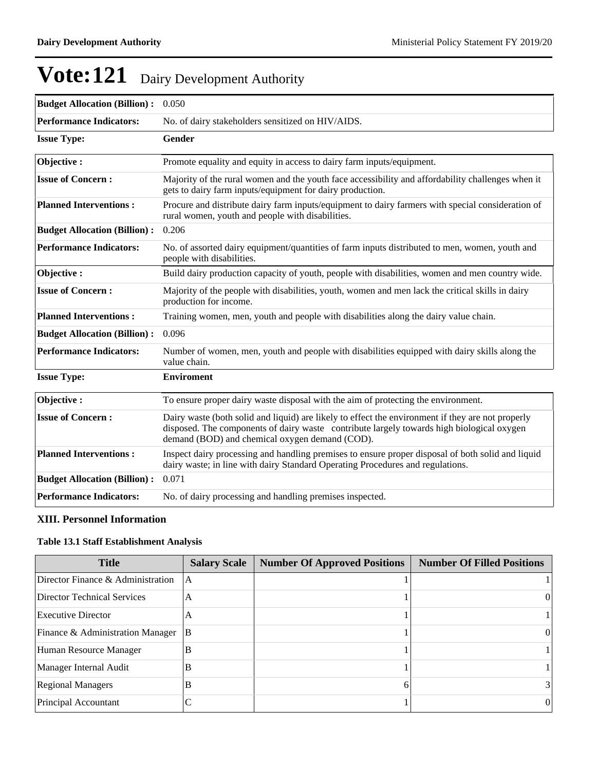| <b>Budget Allocation (Billion):</b> | 0.050                                                                                                                                                                                                                                            |
|-------------------------------------|--------------------------------------------------------------------------------------------------------------------------------------------------------------------------------------------------------------------------------------------------|
| <b>Performance Indicators:</b>      | No. of dairy stakeholders sensitized on HIV/AIDS.                                                                                                                                                                                                |
| <b>Issue Type:</b>                  | <b>Gender</b>                                                                                                                                                                                                                                    |
| Objective:                          | Promote equality and equity in access to dairy farm inputs/equipment.                                                                                                                                                                            |
| <b>Issue of Concern:</b>            | Majority of the rural women and the youth face accessibility and affordability challenges when it<br>gets to dairy farm inputs/equipment for dairy production.                                                                                   |
| <b>Planned Interventions:</b>       | Procure and distribute dairy farm inputs/equipment to dairy farmers with special consideration of<br>rural women, youth and people with disabilities.                                                                                            |
| <b>Budget Allocation (Billion):</b> | 0.206                                                                                                                                                                                                                                            |
| <b>Performance Indicators:</b>      | No. of assorted dairy equipment/quantities of farm inputs distributed to men, women, youth and<br>people with disabilities.                                                                                                                      |
| Objective:                          | Build dairy production capacity of youth, people with disabilities, women and men country wide.                                                                                                                                                  |
| <b>Issue of Concern:</b>            | Majority of the people with disabilities, youth, women and men lack the critical skills in dairy<br>production for income.                                                                                                                       |
| <b>Planned Interventions:</b>       | Training women, men, youth and people with disabilities along the dairy value chain.                                                                                                                                                             |
| <b>Budget Allocation (Billion):</b> | 0.096                                                                                                                                                                                                                                            |
| <b>Performance Indicators:</b>      | Number of women, men, youth and people with disabilities equipped with dairy skills along the<br>value chain.                                                                                                                                    |
| <b>Issue Type:</b>                  | <b>Enviroment</b>                                                                                                                                                                                                                                |
| Objective:                          | To ensure proper dairy waste disposal with the aim of protecting the environment.                                                                                                                                                                |
| <b>Issue of Concern:</b>            | Dairy waste (both solid and liquid) are likely to effect the environment if they are not properly<br>disposed. The components of dairy waste contribute largely towards high biological oxygen<br>demand (BOD) and chemical oxygen demand (COD). |
| <b>Planned Interventions:</b>       | Inspect dairy processing and handling premises to ensure proper disposal of both solid and liquid<br>dairy waste; in line with dairy Standard Operating Procedures and regulations.                                                              |
| <b>Budget Allocation (Billion):</b> | 0.071                                                                                                                                                                                                                                            |
| <b>Performance Indicators:</b>      | No. of dairy processing and handling premises inspected.                                                                                                                                                                                         |

## **XIII. Personnel Information**

### **Table 13.1 Staff Establishment Analysis**

| <b>Title</b>                      | <b>Salary Scale</b> | <b>Number Of Approved Positions</b> | <b>Number Of Filled Positions</b> |
|-----------------------------------|---------------------|-------------------------------------|-----------------------------------|
| Director Finance & Administration | A                   |                                     |                                   |
| Director Technical Services       | А                   |                                     | $^{(1)}$                          |
| Executive Director                | A                   |                                     |                                   |
| Finance & Administration Manager  | B                   |                                     | $^{(1)}$                          |
| Human Resource Manager            | В                   |                                     |                                   |
| Manager Internal Audit            | B                   |                                     |                                   |
| <b>Regional Managers</b>          | B                   |                                     | 31                                |
| Principal Accountant              |                     |                                     | $\theta$                          |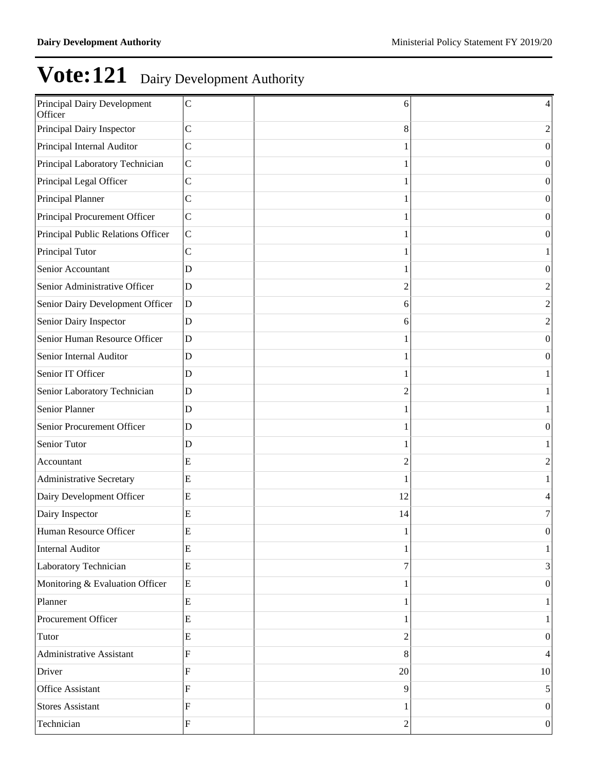| Principal Dairy Development<br>Officer | $\mathsf{C}$   | 6              | 4                |
|----------------------------------------|----------------|----------------|------------------|
| Principal Dairy Inspector              | $\mathbf C$    | 8              | 2                |
| Principal Internal Auditor             | $\mathbf C$    |                | 0                |
| Principal Laboratory Technician        | $\mathsf{C}$   |                | $\theta$         |
| Principal Legal Officer                | $\mathbf C$    |                | $\theta$         |
| Principal Planner                      | $\mathsf{C}$   |                | $\overline{0}$   |
| Principal Procurement Officer          | $\mathsf{C}$   |                | $\theta$         |
| Principal Public Relations Officer     | $\mathsf{C}$   |                | $\theta$         |
| Principal Tutor                        | $\mathbf C$    |                |                  |
| Senior Accountant                      | $\mathbf D$    |                | $\theta$         |
| Senior Administrative Officer          | $\mathbf D$    | 2              | $\overline{c}$   |
| Senior Dairy Development Officer       | $\mathbf D$    | 6              | $\overline{2}$   |
| Senior Dairy Inspector                 | $\mathbf D$    | 6              | $\overline{2}$   |
| Senior Human Resource Officer          | $\overline{D}$ |                | $\overline{0}$   |
| Senior Internal Auditor                | $\mathbf D$    |                | $\theta$         |
| Senior IT Officer                      | $\mathbf D$    |                |                  |
| Senior Laboratory Technician           | $\mathbf D$    | $\overline{c}$ |                  |
| Senior Planner                         | $\mathbf D$    |                |                  |
| Senior Procurement Officer             | $\overline{D}$ |                | $\theta$         |
| Senior Tutor                           | $\mathbf D$    |                |                  |
| Accountant                             | E              | $\overline{c}$ | $\overline{2}$   |
| <b>Administrative Secretary</b>        | ${\bf E}$      |                |                  |
| Dairy Development Officer              | ${\bf E}$      | 12             | 4                |
| Dairy Inspector                        | ${\bf E}$      | 14             | 7                |
| Human Resource Officer                 | ${\bf E}$      | 1              | 0                |
| <b>Internal Auditor</b>                | ${\bf E}$      |                | 1                |
| Laboratory Technician                  | $\rm{E}$       | 7              | 3                |
| Monitoring & Evaluation Officer        | $\rm{E}$       |                | $\boldsymbol{0}$ |
| Planner                                | $\overline{E}$ |                |                  |
| Procurement Officer                    | ${\bf E}$      |                |                  |
| Tutor                                  | ${\bf E}$      | $\overline{c}$ | $\boldsymbol{0}$ |
| <b>Administrative Assistant</b>        | ${\bf F}$      | 8              | 4                |
| Driver                                 | ${\bf F}$      | 20             | $10\,$           |
| <b>Office Assistant</b>                | ${\bf F}$      | 9              | 5                |
| <b>Stores Assistant</b>                | ${\bf F}$      |                | $\boldsymbol{0}$ |
| Technician                             | ${\bf F}$      | $\overline{c}$ | $\vert 0 \vert$  |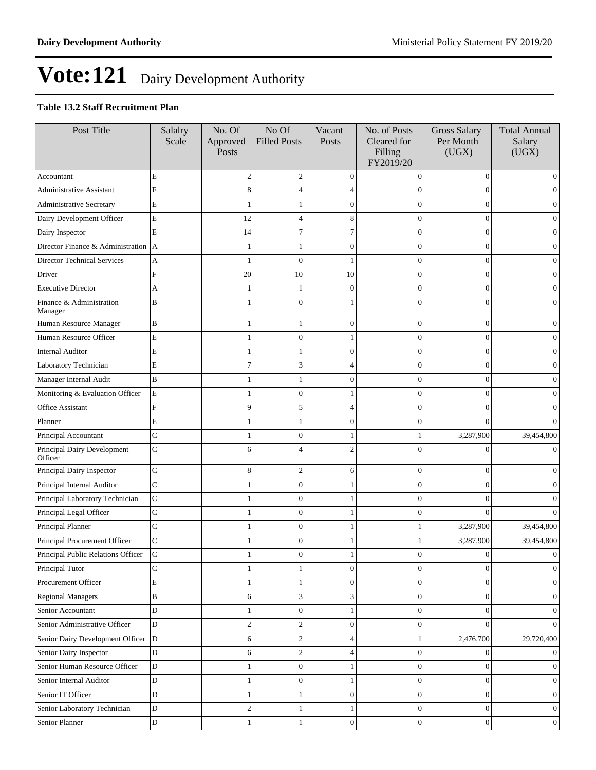## **Table 13.2 Staff Recruitment Plan**

| Post Title                              | Salalry<br>Scale | No. Of<br>Approved<br>Posts | No Of<br><b>Filled Posts</b> | Vacant<br>Posts  | No. of Posts<br>Cleared for<br>Filling<br>FY2019/20 | <b>Gross Salary</b><br>Per Month<br>(UGX) | <b>Total Annual</b><br>Salary<br>(UGX) |
|-----------------------------------------|------------------|-----------------------------|------------------------------|------------------|-----------------------------------------------------|-------------------------------------------|----------------------------------------|
| Accountant                              | E                | $\overline{2}$              | $\sqrt{2}$                   | $\mathbf{0}$     | $\Omega$                                            | $\mathbf{0}$                              | $\mathbf{0}$                           |
| <b>Administrative Assistant</b>         | F                | 8                           | 4                            |                  | 0                                                   | $\Omega$                                  | $\mathbf{0}$                           |
| Administrative Secretary                | E                |                             |                              | $\theta$         | 0                                                   | $\theta$                                  | $\theta$                               |
| Dairy Development Officer               | $\mathbf E$      | 12                          | 4                            | 8                | $\overline{0}$                                      | $\overline{0}$                            | $\mathbf{0}$                           |
| Dairy Inspector                         | E                | 14                          | 7                            | 7                | $\overline{0}$                                      | $\mathbf{0}$                              | $\boldsymbol{0}$                       |
| Director Finance & Administration $ A $ |                  |                             | 1                            | $\overline{0}$   | 0                                                   | $\theta$                                  | $\theta$                               |
| Director Technical Services             | A                |                             | $\mathbf{0}$                 |                  | 0                                                   | $\Omega$                                  | $\theta$                               |
| Driver                                  | F                | 20                          | 10                           | 10               | $\overline{0}$                                      | $\theta$                                  | $\mathbf{0}$                           |
| <b>Executive Director</b>               | A                |                             | 1                            | $\mathbf{0}$     | $\overline{0}$                                      | $\overline{0}$                            | $\boldsymbol{0}$                       |
| Finance & Administration<br>Manager     | B                |                             | $\theta$                     |                  | $\Omega$                                            | $\Omega$                                  | $\Omega$                               |
| Human Resource Manager                  | B                |                             | 1                            | $\overline{0}$   | $\overline{0}$                                      | $\mathbf{0}$                              | $\mathbf{0}$                           |
| Human Resource Officer                  | $\mathbf E$      |                             | $\boldsymbol{0}$             | 1                | $\overline{0}$                                      | $\overline{0}$                            | $\boldsymbol{0}$                       |
| <b>Internal Auditor</b>                 | E                |                             | 1                            | $\mathbf{0}$     | $\overline{0}$                                      | $\overline{0}$                            | $\mathbf{0}$                           |
| Laboratory Technician                   | E                | $\overline{7}$              | 3                            | 4                | $\theta$                                            | $\theta$                                  | $\boldsymbol{0}$                       |
| Manager Internal Audit                  | $\bf{B}$         |                             | 1                            | $\Omega$         | $\overline{0}$                                      | $\theta$                                  | $\mathbf{0}$                           |
| Monitoring & Evaluation Officer         | E                |                             | $\overline{0}$               |                  | 0                                                   | $\theta$                                  | $\mathbf{0}$                           |
| Office Assistant                        | F                | 9                           | 5                            | 4                | $\overline{0}$                                      | $\theta$                                  | $\boldsymbol{0}$                       |
| Planner                                 | E                |                             | 1                            | $\overline{0}$   | $\overline{0}$                                      | $\Omega$                                  | $\Omega$                               |
| Principal Accountant                    | $\mathbf C$      |                             | $\boldsymbol{0}$             |                  | 1                                                   | 3,287,900                                 | 39,454,800                             |
| Principal Dairy Development<br>Officer  | $\mathsf{C}$     | 6                           | 4                            | 2                | $\theta$                                            | $\Omega$                                  | $\mathbf{0}$                           |
| Principal Dairy Inspector               | $\mathbf C$      | 8                           | $\mathfrak{2}$               | 6                | $\overline{0}$                                      | $\overline{0}$                            | $\mathbf{0}$                           |
| Principal Internal Auditor              | $\overline{C}$   |                             | $\boldsymbol{0}$             |                  | $\overline{0}$                                      | $\theta$                                  | $\mathbf{0}$                           |
| Principal Laboratory Technician         | ${\bf C}$        |                             | $\overline{0}$               |                  | $\overline{0}$                                      | $\theta$                                  | $\mathbf{0}$                           |
| Principal Legal Officer                 | $\mathbf C$      |                             | $\boldsymbol{0}$             |                  | $\Omega$                                            | $\Omega$                                  | $\Omega$                               |
| Principal Planner                       | $\overline{C}$   |                             | $\boldsymbol{0}$             |                  |                                                     | 3,287,900                                 | 39,454,800                             |
| Principal Procurement Officer           | $\mathsf{C}$     |                             | $\mathbf{0}$                 |                  |                                                     | 3,287,900                                 | 39,454,800                             |
| Principal Public Relations Officer      | $\mathbf C$      |                             | $\boldsymbol{0}$             |                  | 0                                                   | $\theta$                                  | $\mathbf{0}$                           |
| Principal Tutor                         | $\mathsf{C}$     | $\overline{1}$              | 1                            | $\boldsymbol{0}$ | $\boldsymbol{0}$                                    | $\mathbf{0}$                              | $\mathbf{0}$                           |
| Procurement Officer                     | E                | -1                          | $\mathbf{1}$                 | $\boldsymbol{0}$ | $\boldsymbol{0}$                                    | $\mathbf{0}$                              | $\boldsymbol{0}$                       |
| <b>Regional Managers</b>                | $\, {\bf B}$     | 6                           | $\mathfrak{Z}$               | 3                | $\boldsymbol{0}$                                    | $\boldsymbol{0}$                          | $\mathbf{0}$                           |
| Senior Accountant                       | D                | $\mathbf{1}$                | $\boldsymbol{0}$             | 1                | $\boldsymbol{0}$                                    | $\boldsymbol{0}$                          | $\mathbf{0}$                           |
| Senior Administrative Officer           | $\mathbf D$      | $\overline{c}$              | $\overline{c}$               | $\overline{0}$   | $\overline{0}$                                      | $\overline{0}$                            | $\Omega$                               |
| Senior Dairy Development Officer        | D                | 6                           | $\sqrt{2}$                   | 4                | 1                                                   | 2,476,700                                 | 29,720,400                             |
| Senior Dairy Inspector                  | D                | 6                           | $\sqrt{2}$                   | 4                | $\boldsymbol{0}$                                    | $\boldsymbol{0}$                          | $\boldsymbol{0}$                       |
| Senior Human Resource Officer           | $\mathbf D$      | $\mathbf{1}$                | $\boldsymbol{0}$             | 1                | $\boldsymbol{0}$                                    | $\boldsymbol{0}$                          | $\theta$                               |
| Senior Internal Auditor                 | $\mathbf D$      | $\mathbf{1}$                | $\boldsymbol{0}$             | 1                | $\boldsymbol{0}$                                    | $\boldsymbol{0}$                          | $\mathbf{0}$                           |
| Senior IT Officer                       | D                | $\mathbf{1}$                | $\mathbf{1}$                 | $\overline{0}$   | $\boldsymbol{0}$                                    | $\boldsymbol{0}$                          | $\mathbf{0}$                           |
| Senior Laboratory Technician            | D                | $\overline{c}$              | $\mathbf{1}$                 | 1                | $\boldsymbol{0}$                                    | $\mathbf{0}$                              | $\mathbf{0}$                           |
| Senior Planner                          | $\mathbf D$      | 1                           | $\mathbf{1}$                 | $\boldsymbol{0}$ | $\boldsymbol{0}$                                    | $\boldsymbol{0}$                          | $\mathbf{0}$                           |